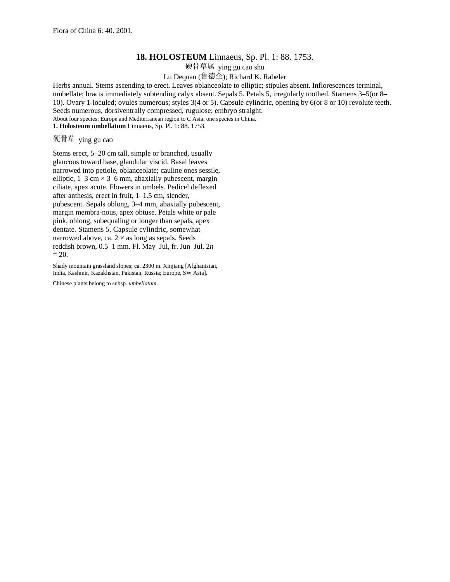## **18. HOLOSTEUM** Linnaeus, Sp. Pl. 1: 88. 1753.

硬骨草属 ying gu cao shu

Lu Dequan (鲁德全); Richard K. Rabeler

Herbs annual. Stems ascending to erect. Leaves oblanceolate to elliptic; stipules absent. Inflorescences terminal, umbellate; bracts immediately subtending calyx absent. Sepals 5. Petals 5, irregularly toothed. Stamens 3–5(or 8– 10). Ovary 1-loculed; ovules numerous; styles 3(4 or 5). Capsule cylindric, opening by 6(or 8 or 10) revolute teeth. Seeds numerous, dorsiventrally compressed, rugulose; embryo straight. About four species: Europe and Mediterranean region to C Asia; one species in China. **1. Holosteum umbellatum** Linnaeus, Sp. Pl. 1: 88. 1753.

硬骨草 ying gu cao

Stems erect, 5–20 cm tall, simple or branched, usually glaucous toward base, glandular viscid. Basal leaves narrowed into petiole, oblanceolate; cauline ones sessile, elliptic,  $1-3$  cm  $\times$  3-6 mm, abaxially pubescent, margin ciliate, apex acute. Flowers in umbels. Pedicel deflexed after anthesis, erect in fruit, 1–1.5 cm, slender, pubescent. Sepals oblong, 3–4 mm, abaxially pubescent, margin membra-nous, apex obtuse. Petals white or pale pink, oblong, subequaling or longer than sepals, apex dentate. Stamens 5. Capsule cylindric, somewhat narrowed above, ca.  $2 \times$  as long as sepals. Seeds reddish brown, 0.5–1 mm. Fl. May–Jul, fr. Jun–Jul. 2*n*  $= 20.$ 

Shady mountain grassland slopes; ca. 2300 m. Xinjiang [Afghanistan, India, Kashmir, Kazakhstan, Pakistan, Russia; Europe, SW Asia].

Chinese plants belong to subsp. *umbellatum*.